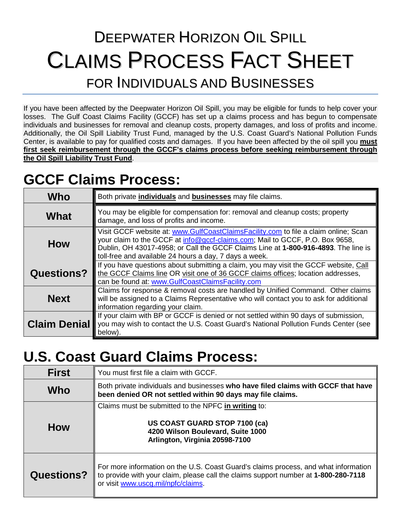# DEEPWATER HORIZON OIL SPILL CLAIMS PROCESS FACT SHEET FOR INDIVIDUALS AND BUSINESSES

If you have been affected by the Deepwater Horizon Oil Spill, you may be eligible for funds to help cover your losses. The Gulf Coast Claims Facility (GCCF) has set up a claims process and has begun to compensate individuals and businesses for removal and cleanup costs, property damages, and loss of profits and income. Additionally, the Oil Spill Liability Trust Fund, managed by the U.S. Coast Guard's National Pollution Funds Center, is available to pay for qualified costs and damages. If you have been affected by the oil spill you **must first seek reimbursement through the GCCF's claims process before seeking reimbursement through the Oil Spill Liability Trust Fund**.

## **GCCF Claims Process:**

| Who                 | Both private <i>individuals</i> and <b>businesses</b> may file claims.                                                                                                                                                                                                                                              |
|---------------------|---------------------------------------------------------------------------------------------------------------------------------------------------------------------------------------------------------------------------------------------------------------------------------------------------------------------|
| What                | You may be eligible for compensation for: removal and cleanup costs; property<br>damage, and loss of profits and income.                                                                                                                                                                                            |
| How                 | Visit GCCF website at: www.GulfCoastClaimsFacility.com to file a claim online; Scan<br>your claim to the GCCF at info@gccf-claims.com; Mail to GCCF, P.O. Box 9658,<br>Dublin, OH 43017-4958; or Call the GCCF Claims Line at 1-800-916-4893. The line is<br>toll-free and available 24 hours a day, 7 days a week. |
| <b>Questions?</b>   | If you have questions about submitting a claim, you may visit the GCCF website, Call<br>the GCCF Claims line OR visit one of 36 GCCF claims offices; location addresses,<br>can be found at: www.GulfCoastClaimsFacility.com                                                                                        |
| <b>Next</b>         | Claims for response & removal costs are handled by Unified Command. Other claims<br>will be assigned to a Claims Representative who will contact you to ask for additional<br>information regarding your claim.                                                                                                     |
| <b>Claim Denial</b> | If your claim with BP or GCCF is denied or not settled within 90 days of submission,<br>you may wish to contact the U.S. Coast Guard's National Pollution Funds Center (see<br>below).                                                                                                                              |

## **U.S. Coast Guard Claims Process:**

| <b>First</b>      | You must first file a claim with GCCF.                                                                                                                                                                           |
|-------------------|------------------------------------------------------------------------------------------------------------------------------------------------------------------------------------------------------------------|
| Who               | Both private individuals and businesses who have filed claims with GCCF that have<br>been denied OR not settled within 90 days may file claims.                                                                  |
| <b>How</b>        | Claims must be submitted to the NPFC in writing to:<br>US COAST GUARD STOP 7100 (ca)<br>4200 Wilson Boulevard, Suite 1000<br>Arlington, Virginia 20598-7100                                                      |
| <b>Questions?</b> | For more information on the U.S. Coast Guard's claims process, and what information<br>to provide with your claim, please call the claims support number at 1-800-280-7118<br>or visit www.uscg.mil/npfc/claims. |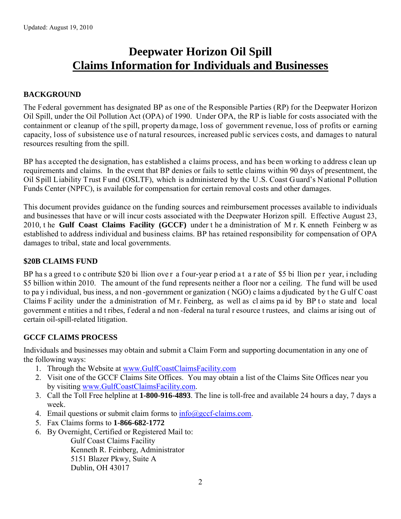### **Deepwater Horizon Oil Spill Claims Information for Individuals and Businesses**

#### **BACKGROUND**

The Federal government has designated BP as one of the Responsible Parties (RP) for the Deepwater Horizon Oil Spill, under the Oil Pollution Act (OPA) of 1990. Under OPA, the RP is liable for costs associated with the containment or cleanup of the spill, property da mage, loss of government revenue, loss of p rofits or earning capacity, loss of subsistence use of natural resources, increased public services costs, and damages to natural resources resulting from the spill.

BP has accepted the designation, has established a claims process, and has been working to address clean up requirements and claims. In the event that BP denies or fails to settle claims within 90 days of presentment, the Oil Spill Liability Trust Fund (OSLTF), which is administered by the U.S. Coast Guard's National Pollution Funds Center (NPFC), is available for compensation for certain removal costs and other damages.

This document provides guidance on the funding sources and reimbursement processes available to individuals and businesses that have or will incur costs associated with the Deepwater Horizon spill. Effective August 23, 2010, t he **Gulf Coast Claims Facility (GCCF)** under t he a dministration of M r. K enneth Feinberg w as established to address individual and business claims. BP has retained responsibility for compensation of OPA damages to tribal, state and local governments.

#### **\$20B CLAIMS FUND**

BP has a greed to c ontribute \$20 bi llion ove r a f our-year p eriod a t a r ate of \$5 bi llion pe r year, i ncluding \$5 billion within 2010. The amount of the fund represents neither a floor nor a ceiling. The fund will be used to pa y i ndividual, bus iness, a nd non -government or ganization ( NGO) c laims a djudicated by t he G ulf C oast Claims F acility under the a dministration of M r. Feinberg, as well as cl aims pa id by BP t o state and local government e ntities a nd t ribes, f ederal a nd non -federal na tural r esource t rustees, and claims ar ising out of certain oil-spill-related litigation.

#### **GCCF CLAIMS PROCESS**

Individuals and businesses may obtain and submit a Claim Form and supporting documentation in any one of the following ways:

- 1. Through the Website at [www.GulfCoastClaimsFacility.com](http://www.gulfcoastclaimsfacility.com/)
- 2. Visit one of the GCCF Claims Site Offices. You may obtain a list of the Claims Site Offices near you by visiting [www.GulfCoastClaimsFacility.com.](http://www.gulfcoastclaimsfacility.com/)
- 3. Call the Toll Free helpline at **1-800-916-4893**. The line is toll-free and available 24 hours a day, 7 days a week.
- 4. Email questions or submit claim forms to  $\frac{info(\partial \rho) \cdot gcd\text{-}clains.com.}$
- 5. Fax Claims forms to **1-866-682-1772**
- 6. By Overnight, Certified or Registered Mail to:

Gulf Coast Claims Facility Kenneth R. Feinberg, Administrator 5151 Blazer Pkwy, Suite A Dublin, OH 43017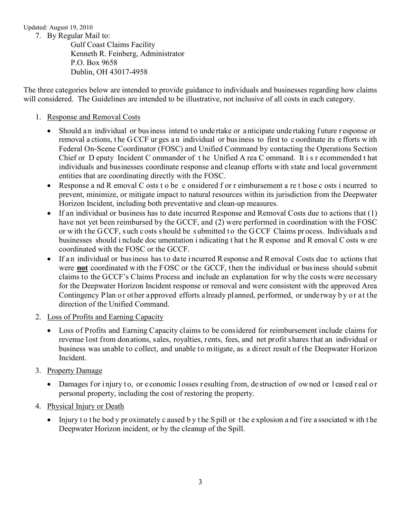Updated: August 19, 2010

7. By Regular Mail to:

Gulf Coast Claims Facility Kenneth R. Feinberg, Administrator P.O. Box 9658 Dublin, OH 43017-4958

The three categories below are intended to provide guidance to individuals and businesses regarding how claims will considered. The Guidelines are intended to be illustrative, not inclusive of all costs in each category.

#### 1. Response and Removal Costs

- Should an individual or bus iness intend to undertake or anticipate undertaking future r esponse or removal a ctions, t he G CCF ur ges a n individual or bus iness to first to c oordinate its e fforts w ith Federal On-Scene Coordinator (FOSC) and Unified Command by contacting the Operations Section Chief or D eputy Incident C ommander of t he Unified A rea C ommand. It i s r ecommended t hat individuals and businesses coordinate response and cleanup efforts with state and local government entities that are coordinating directly with the FOSC.
- Response a nd R emoval C osts t o be c onsidered f or r eimbursement a re t hose c osts i ncurred to prevent, minimize, or mitigate impact to natural resources within its jurisdiction from the Deepwater Horizon Incident, including both preventative and clean-up measures.
- If an individual or business has to date incurred Response and Removal Costs due to actions that (1) have not yet been reimbursed by the GCCF, and (2) were performed in coordination with the FOSC or w ith t he G CCF, s uch c osts s hould be s ubmitted t o the G CCF Claims pr ocess. Individuals a nd businesses should i nclude doc umentation i ndicating t hat t he R esponse and R emoval C osts w ere coordinated with the FOSC or the GCCF.
- If an individual or business has to date incurred Response and Removal Costs due to actions that were **not** coordinated with the FOSC or the GCCF, then the individual or business should submit claims to the GCCF's Claims Process and include an explanation for why the costs were necessary for the Deepwater Horizon Incident response or removal and were consistent with the approved Area Contingency Plan or other approved efforts already planned, performed, or underway b y or at the direction of the Unified Command.
- 2. Loss of Profits and Earning Capacity
	- Loss of Profits and Earning Capacity claims to be considered for reimbursement include claims for revenue lost from donations, sales, royalties, rents, fees, and net profit shares that an individual or business was unable to collect, and unable to mitigate, as a direct result of the Deepwater Horizon Incident.
- 3. Property Damage
	- Damages for injury to, or e conomic losses resulting from, de struction of owned or leased real or personal property, including the cost of restoring the property.
- 4. Physical Injury or Death
	- Injury to the bod y proximately c aused b y the S pill or the explosion and fire a ssociated with the Deepwater Horizon incident, or by the cleanup of the Spill.